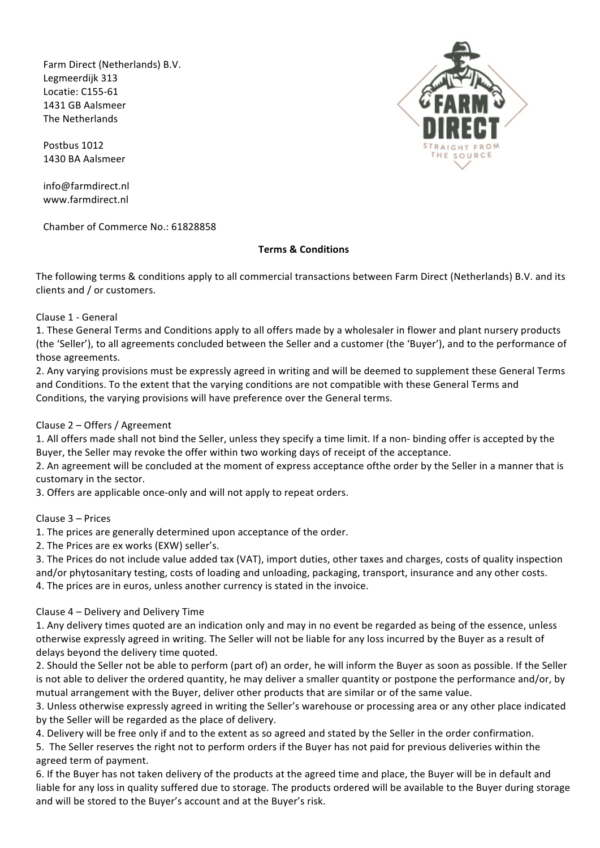Farm Direct (Netherlands) B.V. Legmeerdijk 313 Locatie: C155-61 1431 GB Aalsmeer The Netherlands

Postbus 1012 1430 BA Aalsmeer

info@farmdirect.nl www.farmdirect.nl

Chamber of Commerce No.: 61828858

### **Terms & Conditions**

The following terms & conditions apply to all commercial transactions between Farm Direct (Netherlands) B.V. and its clients and / or customers.

Clause 1 - General

1. These General Terms and Conditions apply to all offers made by a wholesaler in flower and plant nursery products (the 'Seller'), to all agreements concluded between the Seller and a customer (the 'Buyer'), and to the performance of those agreements.

2. Any varying provisions must be expressly agreed in writing and will be deemed to supplement these General Terms and Conditions. To the extent that the varying conditions are not compatible with these General Terms and Conditions, the varying provisions will have preference over the General terms.

# Clause 2 – Offers / Agreement

1. All offers made shall not bind the Seller, unless they specify a time limit. If a non- binding offer is accepted by the Buyer, the Seller may revoke the offer within two working days of receipt of the acceptance.

2. An agreement will be concluded at the moment of express acceptance ofthe order by the Seller in a manner that is customary in the sector.

3. Offers are applicable once-only and will not apply to repeat orders.

Clause 3 – Prices

1. The prices are generally determined upon acceptance of the order.

2. The Prices are ex works (EXW) seller's.

3. The Prices do not include value added tax (VAT), import duties, other taxes and charges, costs of quality inspection and/or phytosanitary testing, costs of loading and unloading, packaging, transport, insurance and any other costs. 4. The prices are in euros, unless another currency is stated in the invoice.

#### Clause 4 – Delivery and Delivery Time

1. Any delivery times quoted are an indication only and may in no event be regarded as being of the essence, unless otherwise expressly agreed in writing. The Seller will not be liable for any loss incurred by the Buyer as a result of delays beyond the delivery time quoted.

2. Should the Seller not be able to perform (part of) an order, he will inform the Buyer as soon as possible. If the Seller is not able to deliver the ordered quantity, he may deliver a smaller quantity or postpone the performance and/or, by mutual arrangement with the Buyer, deliver other products that are similar or of the same value.

3. Unless otherwise expressly agreed in writing the Seller's warehouse or processing area or any other place indicated by the Seller will be regarded as the place of delivery.

4. Delivery will be free only if and to the extent as so agreed and stated by the Seller in the order confirmation.

5. The Seller reserves the right not to perform orders if the Buyer has not paid for previous deliveries within the agreed term of payment.

6. If the Buyer has not taken delivery of the products at the agreed time and place, the Buyer will be in default and liable for any loss in quality suffered due to storage. The products ordered will be available to the Buyer during storage and will be stored to the Buyer's account and at the Buyer's risk.

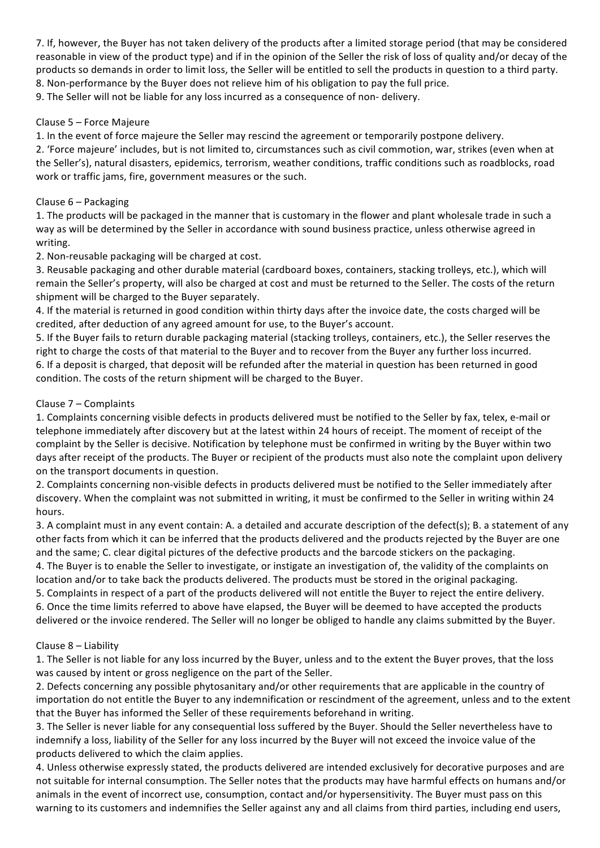7. If, however, the Buyer has not taken delivery of the products after a limited storage period (that may be considered reasonable in view of the product type) and if in the opinion of the Seller the risk of loss of quality and/or decay of the products so demands in order to limit loss, the Seller will be entitled to sell the products in question to a third party. 8. Non-performance by the Buyer does not relieve him of his obligation to pay the full price.

9. The Seller will not be liable for any loss incurred as a consequence of non- delivery.

# Clause 5 - Force Majeure

1. In the event of force majeure the Seller may rescind the agreement or temporarily postpone delivery.

2. 'Force majeure' includes, but is not limited to, circumstances such as civil commotion, war, strikes (even when at the Seller's), natural disasters, epidemics, terrorism, weather conditions, traffic conditions such as roadblocks, road work or traffic jams, fire, government measures or the such.

### Clause  $6 -$  Packaging

1. The products will be packaged in the manner that is customary in the flower and plant wholesale trade in such a way as will be determined by the Seller in accordance with sound business practice, unless otherwise agreed in writing.

2. Non-reusable packaging will be charged at cost.

3. Reusable packaging and other durable material (cardboard boxes, containers, stacking trolleys, etc.), which will remain the Seller's property, will also be charged at cost and must be returned to the Seller. The costs of the return shipment will be charged to the Buyer separately.

4. If the material is returned in good condition within thirty days after the invoice date, the costs charged will be credited, after deduction of any agreed amount for use, to the Buyer's account.

5. If the Buyer fails to return durable packaging material (stacking trolleys, containers, etc.), the Seller reserves the right to charge the costs of that material to the Buyer and to recover from the Buyer any further loss incurred. 6. If a deposit is charged, that deposit will be refunded after the material in question has been returned in good condition. The costs of the return shipment will be charged to the Buyer.

### Clause 7 – Complaints

1. Complaints concerning visible defects in products delivered must be notified to the Seller by fax, telex, e-mail or telephone immediately after discovery but at the latest within 24 hours of receipt. The moment of receipt of the complaint by the Seller is decisive. Notification by telephone must be confirmed in writing by the Buyer within two days after receipt of the products. The Buyer or recipient of the products must also note the complaint upon delivery on the transport documents in question.

2. Complaints concerning non-visible defects in products delivered must be notified to the Seller immediately after discovery. When the complaint was not submitted in writing, it must be confirmed to the Seller in writing within 24 hours.

3. A complaint must in any event contain: A. a detailed and accurate description of the defect(s); B. a statement of any other facts from which it can be inferred that the products delivered and the products rejected by the Buyer are one and the same; C. clear digital pictures of the defective products and the barcode stickers on the packaging. 4. The Buyer is to enable the Seller to investigate, or instigate an investigation of, the validity of the complaints on

location and/or to take back the products delivered. The products must be stored in the original packaging.

5. Complaints in respect of a part of the products delivered will not entitle the Buyer to reject the entire delivery.

6. Once the time limits referred to above have elapsed, the Buyer will be deemed to have accepted the products delivered or the invoice rendered. The Seller will no longer be obliged to handle any claims submitted by the Buyer.

# Clause  $8$  – Liability

1. The Seller is not liable for any loss incurred by the Buyer, unless and to the extent the Buyer proves, that the loss was caused by intent or gross negligence on the part of the Seller.

2. Defects concerning any possible phytosanitary and/or other requirements that are applicable in the country of importation do not entitle the Buyer to any indemnification or rescindment of the agreement, unless and to the extent that the Buyer has informed the Seller of these requirements beforehand in writing.

3. The Seller is never liable for any consequential loss suffered by the Buyer. Should the Seller nevertheless have to indemnify a loss, liability of the Seller for any loss incurred by the Buyer will not exceed the invoice value of the products delivered to which the claim applies.

4. Unless otherwise expressly stated, the products delivered are intended exclusively for decorative purposes and are not suitable for internal consumption. The Seller notes that the products may have harmful effects on humans and/or animals in the event of incorrect use, consumption, contact and/or hypersensitivity. The Buyer must pass on this warning to its customers and indemnifies the Seller against any and all claims from third parties, including end users,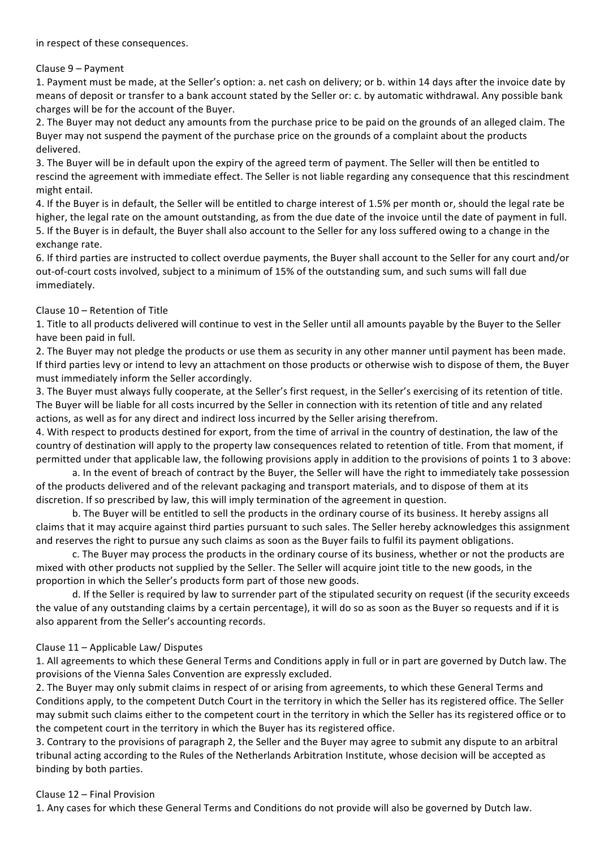### Clause 9 – Payment

1. Payment must be made, at the Seller's option: a. net cash on delivery; or b. within 14 days after the invoice date by means of deposit or transfer to a bank account stated by the Seller or: c. by automatic withdrawal. Any possible bank charges will be for the account of the Buyer.

2. The Buyer may not deduct any amounts from the purchase price to be paid on the grounds of an alleged claim. The Buyer may not suspend the payment of the purchase price on the grounds of a complaint about the products delivered.

3. The Buyer will be in default upon the expiry of the agreed term of payment. The Seller will then be entitled to rescind the agreement with immediate effect. The Seller is not liable regarding any consequence that this rescindment might entail.

4. If the Buyer is in default, the Seller will be entitled to charge interest of 1.5% per month or, should the legal rate be higher, the legal rate on the amount outstanding, as from the due date of the invoice until the date of payment in full. 5. If the Buyer is in default, the Buyer shall also account to the Seller for any loss suffered owing to a change in the exchange rate.

6. If third parties are instructed to collect overdue payments, the Buyer shall account to the Seller for any court and/or out-of-court costs involved, subject to a minimum of 15% of the outstanding sum, and such sums will fall due immediately.

### Clause  $10$  – Retention of Title

1. Title to all products delivered will continue to vest in the Seller until all amounts payable by the Buyer to the Seller have been paid in full.

2. The Buyer may not pledge the products or use them as security in any other manner until payment has been made. If third parties levy or intend to levy an attachment on those products or otherwise wish to dispose of them, the Buyer must immediately inform the Seller accordingly.

3. The Buyer must always fully cooperate, at the Seller's first request, in the Seller's exercising of its retention of title. The Buyer will be liable for all costs incurred by the Seller in connection with its retention of title and any related actions, as well as for any direct and indirect loss incurred by the Seller arising therefrom.

4. With respect to products destined for export, from the time of arrival in the country of destination, the law of the country of destination will apply to the property law consequences related to retention of title. From that moment, if permitted under that applicable law, the following provisions apply in addition to the provisions of points 1 to 3 above:

a. In the event of breach of contract by the Buyer, the Seller will have the right to immediately take possession of the products delivered and of the relevant packaging and transport materials, and to dispose of them at its discretion. If so prescribed by law, this will imply termination of the agreement in question.

b. The Buyer will be entitled to sell the products in the ordinary course of its business. It hereby assigns all claims that it may acquire against third parties pursuant to such sales. The Seller hereby acknowledges this assignment and reserves the right to pursue any such claims as soon as the Buyer fails to fulfil its payment obligations.

c. The Buyer may process the products in the ordinary course of its business, whether or not the products are mixed with other products not supplied by the Seller. The Seller will acquire joint title to the new goods, in the proportion in which the Seller's products form part of those new goods.

d. If the Seller is required by law to surrender part of the stipulated security on request (if the security exceeds the value of any outstanding claims by a certain percentage), it will do so as soon as the Buyer so requests and if it is also apparent from the Seller's accounting records.

# Clause  $11$  – Applicable Law/ Disputes

1. All agreements to which these General Terms and Conditions apply in full or in part are governed by Dutch law. The provisions of the Vienna Sales Convention are expressly excluded.

2. The Buyer may only submit claims in respect of or arising from agreements, to which these General Terms and Conditions apply, to the competent Dutch Court in the territory in which the Seller has its registered office. The Seller may submit such claims either to the competent court in the territory in which the Seller has its registered office or to the competent court in the territory in which the Buyer has its registered office.

3. Contrary to the provisions of paragraph 2, the Seller and the Buyer may agree to submit any dispute to an arbitral tribunal acting according to the Rules of the Netherlands Arbitration Institute, whose decision will be accepted as binding by both parties.

#### Clause 12 - Final Provision

1. Any cases for which these General Terms and Conditions do not provide will also be governed by Dutch law.